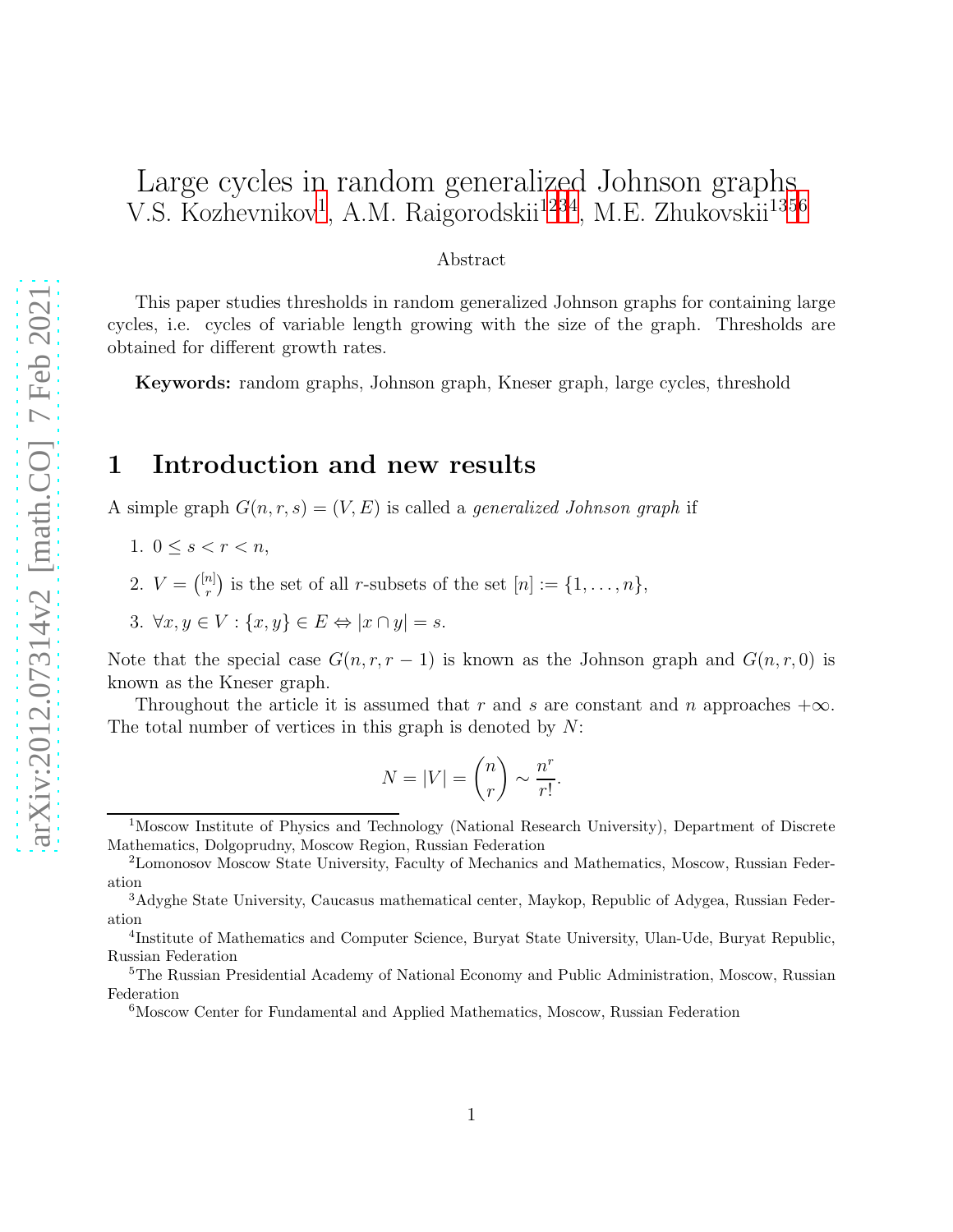# Large cycles in random generalized Johnson graphs V.S. Kozhevnikov<sup>[1](#page-0-0)</sup>, A.M. Raigorodskii<sup>[12](#page-0-1)[3](#page-0-2)[4](#page-0-3)</sup>, M.E. Zhukovskii<sup>1[35](#page-0-4)[6](#page-0-5)</sup>

#### Abstract

This paper studies thresholds in random generalized Johnson graphs for containing large cycles, i.e. cycles of variable length growing with the size of the graph. Thresholds are obtained for different growth rates.

Keywords: random graphs, Johnson graph, Kneser graph, large cycles, threshold

## 1 Introduction and new results

A simple graph  $G(n, r, s) = (V, E)$  is called a *generalized Johnson graph* if

- 1.  $0 \leq s < r < n$ ,
- 2.  $V = \binom{[n]}{r}$  $\binom{n}{r}$  is the set of all *r*-subsets of the set  $[n] := \{1, \ldots, n\},\$
- 3.  $\forall x, y \in V : \{x, y\} \in E \Leftrightarrow |x \cap y| = s.$

Note that the special case  $G(n, r, r - 1)$  is known as the Johnson graph and  $G(n, r, 0)$  is known as the Kneser graph.

Throughout the article it is assumed that r and s are constant and n approaches  $+\infty$ . The total number of vertices in this graph is denoted by  $N$ :

$$
N = |V| = \binom{n}{r} \sim \frac{n^r}{r!}.
$$

<span id="page-0-0"></span><sup>1</sup>Moscow Institute of Physics and Technology (National Research University), Department of Discrete Mathematics, Dolgoprudny, Moscow Region, Russian Federation

<span id="page-0-1"></span><sup>2</sup>Lomonosov Moscow State University, Faculty of Mechanics and Mathematics, Moscow, Russian Federation

<span id="page-0-2"></span><sup>3</sup>Adyghe State University, Caucasus mathematical center, Maykop, Republic of Adygea, Russian Federation

<span id="page-0-3"></span><sup>4</sup> Institute of Mathematics and Computer Science, Buryat State University, Ulan-Ude, Buryat Republic, Russian Federation

<sup>5</sup>The Russian Presidential Academy of National Economy and Public Administration, Moscow, Russian Federation

<span id="page-0-5"></span><span id="page-0-4"></span><sup>6</sup>Moscow Center for Fundamental and Applied Mathematics, Moscow, Russian Federation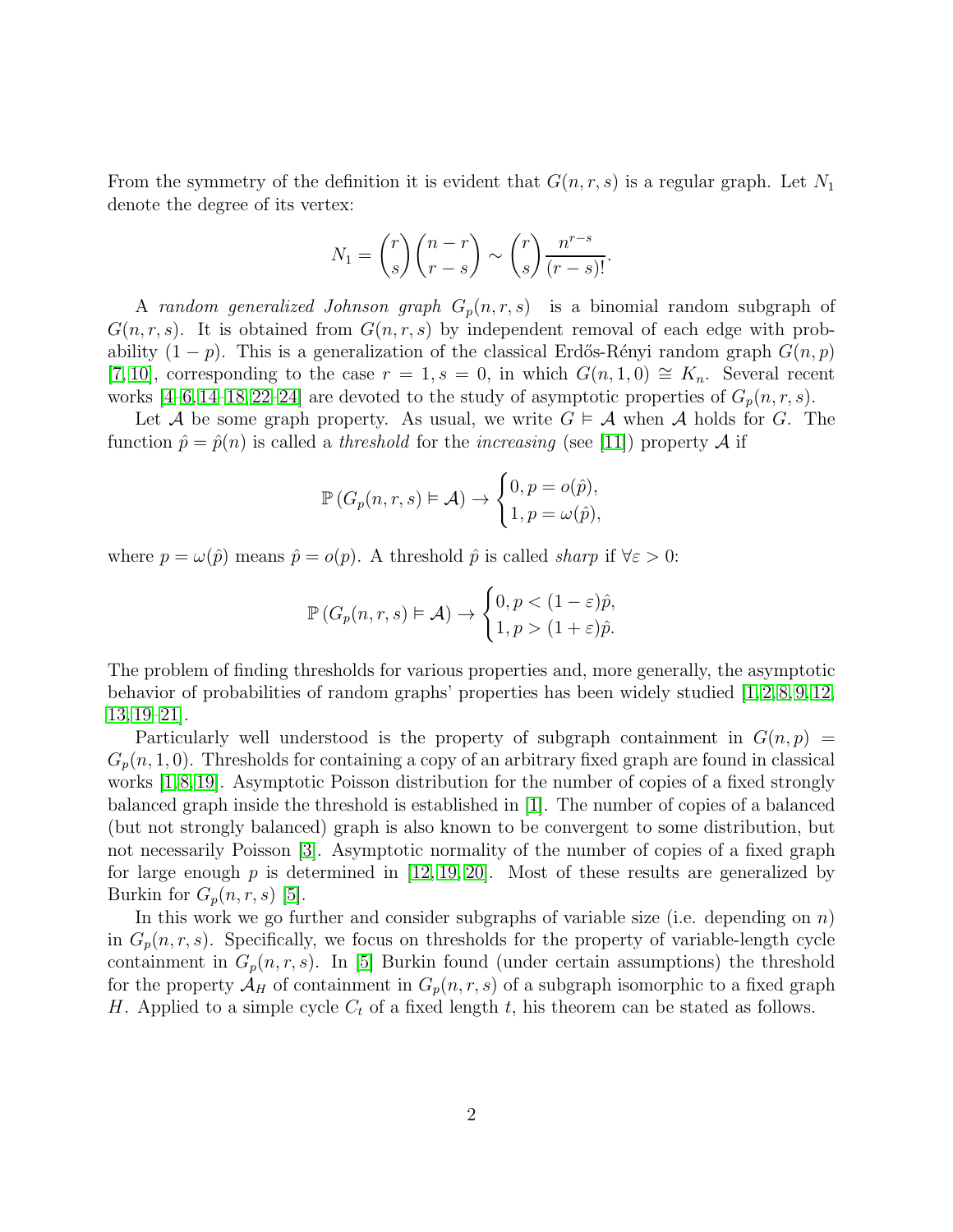From the symmetry of the definition it is evident that  $G(n, r, s)$  is a regular graph. Let  $N_1$ denote the degree of its vertex:

$$
N_1 = {r \choose s} {n-r \choose r-s} \sim {r \choose s} \frac{n^{r-s}}{(r-s)!}.
$$

A random generalized Johnson graph  $G_p(n, r, s)$  is a binomial random subgraph of  $G(n, r, s)$ . It is obtained from  $G(n, r, s)$  by independent removal of each edge with probability  $(1 - p)$ . This is a generalization of the classical Erdős-Rényi random graph  $G(n, p)$ [\[7,](#page-12-0) [10\]](#page-12-1), corresponding to the case  $r = 1$ ,  $s = 0$ , in which  $G(n, 1, 0) \cong K_n$ . Several recent works [\[4](#page-11-0)[–6,](#page-11-1) [14–](#page-12-2)[18,](#page-12-3) [22–](#page-13-0)[24\]](#page-13-1) are devoted to the study of asymptotic properties of  $G_p(n, r, s)$ .

Let A be some graph property. As usual, we write  $G \models A$  when A holds for G. The function  $\hat{p} = \hat{p}(n)$  is called a *threshold* for the *increasing* (see [\[11\]](#page-12-4)) property A if

$$
\mathbb{P}\left(G_p(n,r,s)\models \mathcal{A}\right) \to \begin{cases}0, p = o(\hat{p}),\\1, p = \omega(\hat{p}),\end{cases}
$$

where  $p = \omega(\hat{p})$  means  $\hat{p} = o(p)$ . A threshold  $\hat{p}$  is called sharp if  $\forall \varepsilon > 0$ :

$$
\mathbb{P}\left(G_p(n,r,s)\vDash \mathcal{A}\right) \to \begin{cases} 0, p < (1-\varepsilon)\hat{p}, \\ 1, p > (1+\varepsilon)\hat{p}. \end{cases}
$$

The problem of finding thresholds for various properties and, more generally, the asymptotic behavior of probabilities of random graphs' properties has been widely studied [\[1,](#page-11-2) [2,](#page-11-3) [8,](#page-12-5) [9,](#page-12-6) [12,](#page-12-7) [13,](#page-12-8) [19](#page-12-9)[–21\]](#page-13-2).

Particularly well understood is the property of subgraph containment in  $G(n, p)$  =  $G_p(n, 1, 0)$ . Thresholds for containing a copy of an arbitrary fixed graph are found in classical works [\[1,](#page-11-2)[8,](#page-12-5)[19\]](#page-12-9). Asymptotic Poisson distribution for the number of copies of a fixed strongly balanced graph inside the threshold is established in [\[1\]](#page-11-2). The number of copies of a balanced (but not strongly balanced) graph is also known to be convergent to some distribution, but not necessarily Poisson [\[3\]](#page-11-4). Asymptotic normality of the number of copies of a fixed graph for large enough p is determined in [\[12,](#page-12-7) [19,](#page-12-9) [20\]](#page-12-10). Most of these results are generalized by Burkin for  $G_p(n,r,s)$  [\[5\]](#page-11-5).

In this work we go further and consider subgraphs of variable size (i.e. depending on  $n$ ) in  $G_p(n, r, s)$ . Specifically, we focus on thresholds for the property of variable-length cycle containment in  $G_p(n,r,s)$ . In [\[5\]](#page-11-5) Burkin found (under certain assumptions) the threshold for the property  $\mathcal{A}_H$  of containment in  $G_p(n, r, s)$  of a subgraph isomorphic to a fixed graph H. Applied to a simple cycle  $C_t$  of a fixed length t, his theorem can be stated as follows.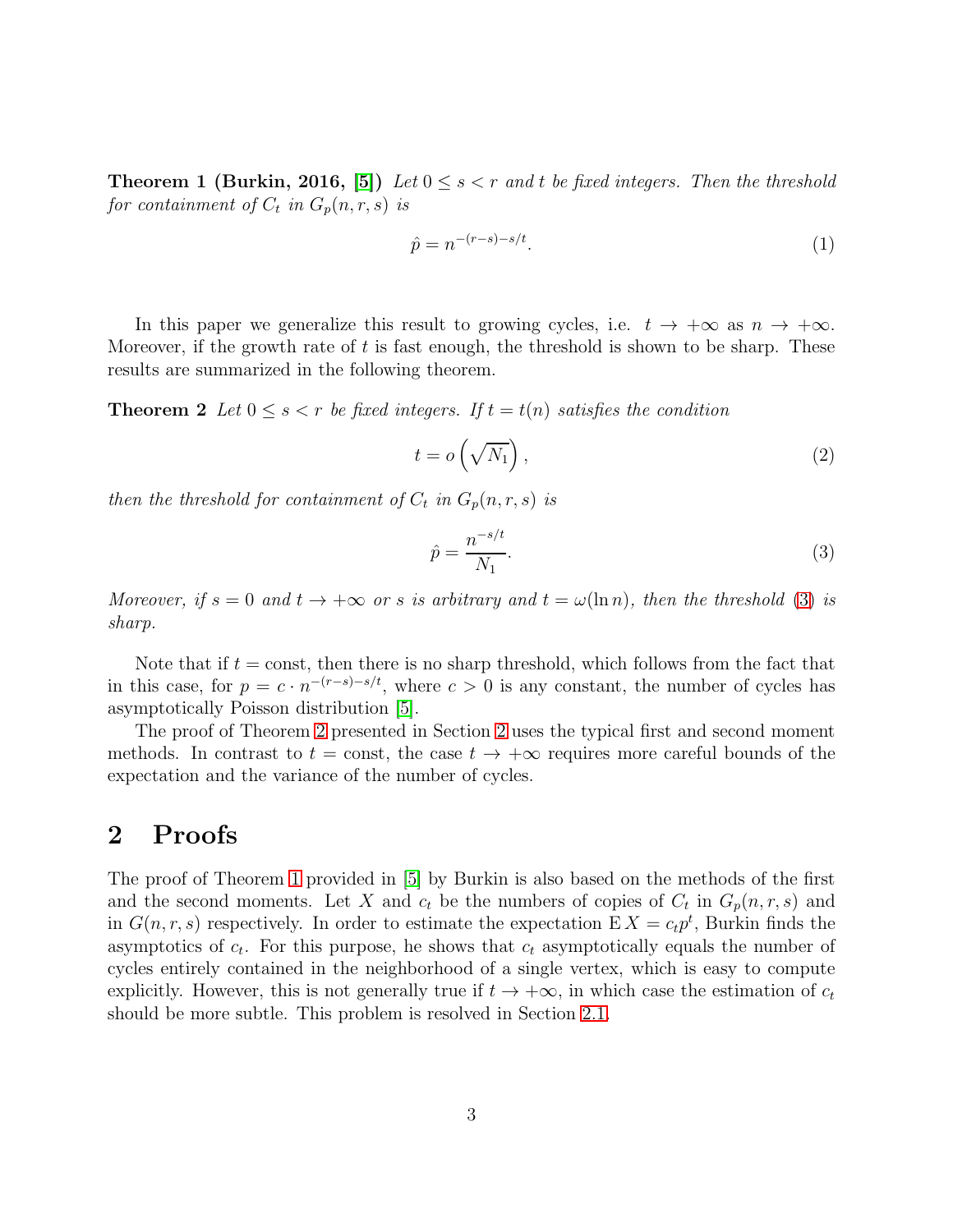**Theorem 1 (Burkin, 2016, [\[5\]](#page-11-5))** Let  $0 \leq s \leq r$  and t be fixed integers. Then the threshold for containment of  $C_t$  in  $G_p(n,r,s)$  is

<span id="page-2-2"></span>
$$
\hat{p} = n^{-(r-s)-s/t}.\tag{1}
$$

In this paper we generalize this result to growing cycles, i.e.  $t \to +\infty$  as  $n \to +\infty$ . Moreover, if the growth rate of  $t$  is fast enough, the threshold is shown to be sharp. These results are summarized in the following theorem.

**Theorem 2** Let  $0 \leq s < r$  be fixed integers. If  $t = t(n)$  satisfies the condition

$$
t = o\left(\sqrt{N_1}\right),\tag{2}
$$

then the threshold for containment of  $C_t$  in  $G_p(n,r,s)$  is

<span id="page-2-0"></span>
$$
\hat{p} = \frac{n^{-s/t}}{N_1}.\tag{3}
$$

Moreover, if  $s = 0$  and  $t \to +\infty$  or s is arbitrary and  $t = \omega(\ln n)$ , then the threshold [\(3\)](#page-2-0) is sharp.

Note that if  $t = \text{const}$ , then there is no sharp threshold, which follows from the fact that in this case, for  $p = c \cdot n^{-(r-s)-s/t}$ , where  $c > 0$  is any constant, the number of cycles has asymptotically Poisson distribution [\[5\]](#page-11-5).

The proof of Theorem [2](#page-2-0) presented in Section [2](#page-2-1) uses the typical first and second moment methods. In contrast to  $t = \text{const}$ , the case  $t \to +\infty$  requires more careful bounds of the expectation and the variance of the number of cycles.

# <span id="page-2-1"></span>2 Proofs

The proof of Theorem [1](#page-2-2) provided in [\[5\]](#page-11-5) by Burkin is also based on the methods of the first and the second moments. Let X and  $c_t$  be the numbers of copies of  $C_t$  in  $G_p(n,r,s)$  and in  $G(n, r, s)$  respectively. In order to estimate the expectation  $E X = c_t p^t$ , Burkin finds the asymptotics of  $c_t$ . For this purpose, he shows that  $c_t$  asymptotically equals the number of cycles entirely contained in the neighborhood of a single vertex, which is easy to compute explicitly. However, this is not generally true if  $t \to +\infty$ , in which case the estimation of  $c_t$ should be more subtle. This problem is resolved in Section [2.1.](#page-3-0)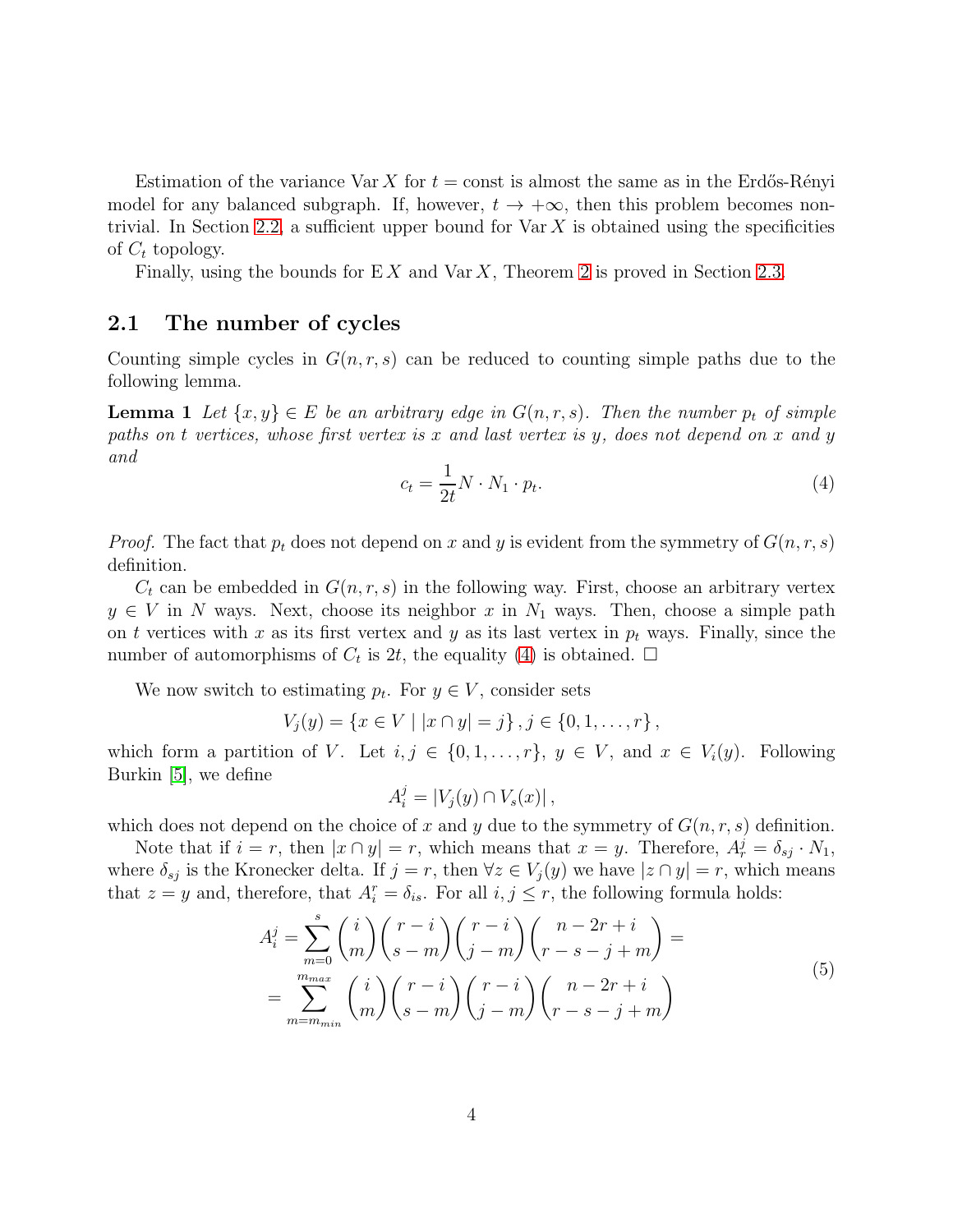Estimation of the variance Var X for  $t = \text{const}$  is almost the same as in the Erdős-Rényi model for any balanced subgraph. If, however,  $t \to +\infty$ , then this problem becomes non-trivial. In Section [2.2,](#page-6-0) a sufficient upper bound for  $\text{Var } X$  is obtained using the specificities of  $C_t$  topology.

Finally, using the bounds for  $EX$  and  $Var X$ , Theorem [2](#page-2-0) is proved in Section [2.3.](#page-9-0)

#### <span id="page-3-0"></span>2.1 The number of cycles

Counting simple cycles in  $G(n, r, s)$  can be reduced to counting simple paths due to the following lemma.

**Lemma 1** Let  $\{x, y\} \in E$  be an arbitrary edge in  $G(n, r, s)$ . Then the number  $p_t$  of simple paths on t vertices, whose first vertex is x and last vertex is y, does not depend on x and y and

<span id="page-3-1"></span>
$$
c_t = \frac{1}{2t} N \cdot N_1 \cdot p_t.
$$
\n<sup>(4)</sup>

*Proof.* The fact that  $p_t$  does not depend on x and y is evident from the symmetry of  $G(n, r, s)$ definition.

 $C_t$  can be embedded in  $G(n, r, s)$  in the following way. First, choose an arbitrary vertex  $y \in V$  in N ways. Next, choose its neighbor x in  $N_1$  ways. Then, choose a simple path on t vertices with x as its first vertex and y as its last vertex in  $p_t$  ways. Finally, since the number of automorphisms of  $C_t$  is 2t, the equality [\(4\)](#page-3-1) is obtained.  $\Box$ 

We now switch to estimating  $p_t$ . For  $y \in V$ , consider sets

$$
V_j(y) = \{x \in V \mid |x \cap y| = j\}, j \in \{0, 1, \dots, r\},\
$$

which form a partition of V. Let  $i, j \in \{0, 1, \ldots, r\}$ ,  $y \in V$ , and  $x \in V_i(y)$ . Following Burkin [\[5\]](#page-11-5), we define

$$
A_i^j = |V_j(y) \cap V_s(x)|,
$$

which does not depend on the choice of x and y due to the symmetry of  $G(n, r, s)$  definition.

Note that if  $i = r$ , then  $|x \cap y| = r$ , which means that  $x = y$ . Therefore,  $A_r^j = \delta_{sj} \cdot N_1$ , where  $\delta_{sj}$  is the Kronecker delta. If  $j = r$ , then  $\forall z \in V_j(y)$  we have  $|z \cap y| = r$ , which means that  $z = y$  and, therefore, that  $A_i^r = \delta_{is}$ . For all  $i, j \leq r$ , the following formula holds:

<span id="page-3-2"></span>
$$
A_i^j = \sum_{m=0}^s {i \choose m} {r-i \choose s-m} {r-i \choose j-m} {n-2r+i \choose r-s-j+m} =
$$
  
= 
$$
\sum_{m=m_{min}}^{m_{max}} {i \choose m} {r-i \choose s-m} {r-i \choose j-m} {n-2r+i \choose r-s-j+m}
$$
 (5)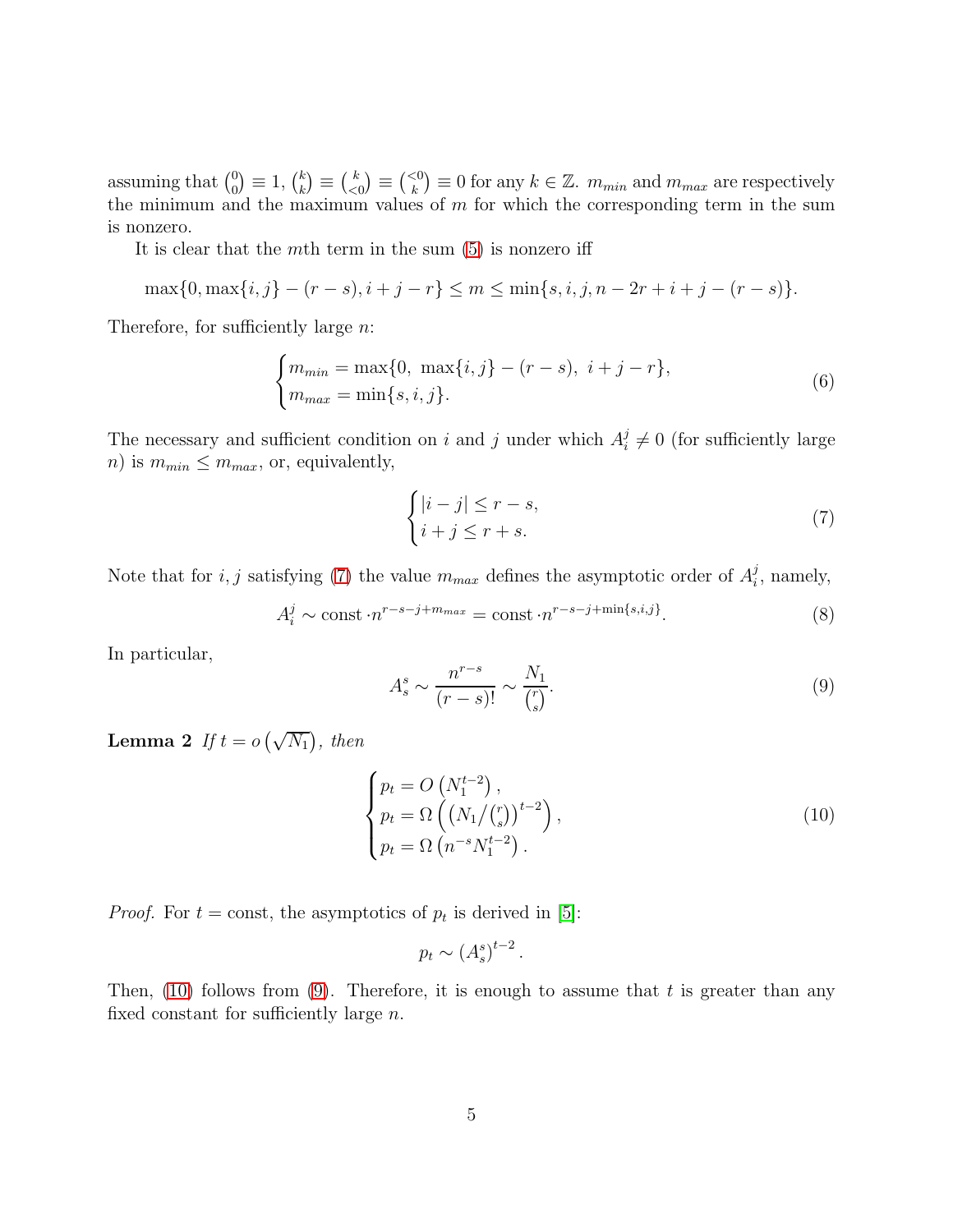assuming that  $\binom{0}{0}$  $\binom{0}{0} \equiv 1, \, \binom{k}{k}$  $\binom{k}{k} \equiv \binom{k}{\leq 0}$  $\binom{k}{0} \equiv \binom{<0}{k} \equiv 0$  for any  $k \in \mathbb{Z}$ .  $m_{min}$  and  $m_{max}$  are respectively the minimum and the maximum values of  $m$  for which the corresponding term in the sum is nonzero.

It is clear that the mth term in the sum  $(5)$  is nonzero iff

$$
\max\{0, \max\{i, j\} - (r - s), i + j - r\} \le m \le \min\{s, i, j, n - 2r + i + j - (r - s)\}.
$$

Therefore, for sufficiently large *n*:

$$
\begin{cases} m_{min} = \max\{0, \ \max\{i, j\} - (r - s), \ i + j - r\}, \\ m_{max} = \min\{s, i, j\}. \end{cases}
$$
 (6)

The necessary and sufficient condition on i and j under which  $A_i^j$  $i \neq 0$  (for sufficiently large  $n)$  is  $m_{min} \leq m_{max}$ , or, equivalently,

<span id="page-4-0"></span>
$$
\begin{cases} |i-j| \le r-s, \\ i+j \le r+s. \end{cases} \tag{7}
$$

Note that for *i*, *j* satisfying [\(7\)](#page-4-0) the value  $m_{max}$  defines the asymptotic order of  $A_i^j$  $i<sub>i</sub>$ , namely,

<span id="page-4-3"></span>
$$
A_i^j \sim \text{const} \cdot n^{r-s-j+m_{max}} = \text{const} \cdot n^{r-s-j+\min\{s,i,j\}}.\tag{8}
$$

In particular,

<span id="page-4-2"></span>
$$
A_s^s \sim \frac{n^{r-s}}{(r-s)!} \sim \frac{N_1}{\binom{r}{s}}.\tag{9}
$$

**Lemma 2** If  $t = o(\sqrt{N_1})$ , then

<span id="page-4-1"></span>
$$
\begin{cases}\np_t = O\left(N_1^{t-2}\right), \\
p_t = \Omega\left(\left(N_1 / \binom{r}{s}\right)^{t-2}\right), \\
p_t = \Omega\left(n^{-s} N_1^{t-2}\right).\n\end{cases} \tag{10}
$$

*Proof.* For  $t = \text{const}$ , the asymptotics of  $p_t$  is derived in [\[5\]](#page-11-5):

$$
p_t \sim (A_s^s)^{t-2}.
$$

Then,  $(10)$  follows from  $(9)$ . Therefore, it is enough to assume that t is greater than any fixed constant for sufficiently large n.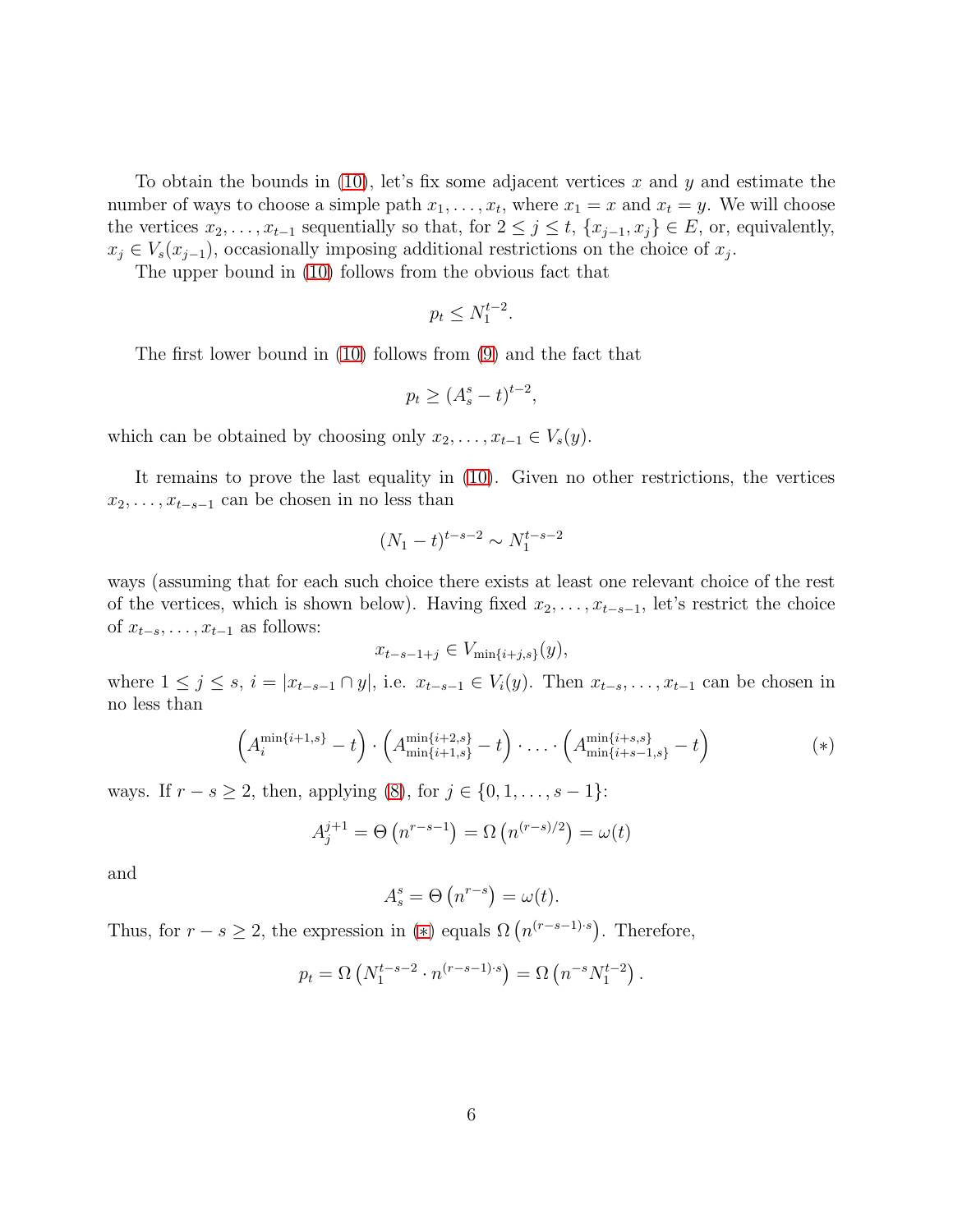To obtain the bounds in  $(10)$ , let's fix some adjacent vertices x and y and estimate the number of ways to choose a simple path  $x_1, \ldots, x_t$ , where  $x_1 = x$  and  $x_t = y$ . We will choose the vertices  $x_2, \ldots, x_{t-1}$  sequentially so that, for  $2 \leq j \leq t$ ,  $\{x_{j-1}, x_j\} \in E$ , or, equivalently,  $x_j \in V_s(x_{j-1})$ , occasionally imposing additional restrictions on the choice of  $x_j$ .

The upper bound in [\(10\)](#page-4-1) follows from the obvious fact that

$$
p_t \le N_1^{t-2}.
$$

The first lower bound in [\(10\)](#page-4-1) follows from [\(9\)](#page-4-2) and the fact that

$$
p_t \ge (A_s^s - t)^{t-2},
$$

which can be obtained by choosing only  $x_2, \ldots, x_{t-1} \in V_s(y)$ .

It remains to prove the last equality in [\(10\)](#page-4-1). Given no other restrictions, the vertices  $x_2, \ldots, x_{t-s-1}$  can be chosen in no less than

$$
(N_1 - t)^{t - s - 2} \sim N_1^{t - s - 2}
$$

ways (assuming that for each such choice there exists at least one relevant choice of the rest of the vertices, which is shown below). Having fixed  $x_2, \ldots, x_{t-s-1}$ , let's restrict the choice of  $x_{t-s}, \ldots, x_{t-1}$  as follows:

<span id="page-5-0"></span>
$$
x_{t-s-1+j} \in V_{\min\{i+j,s\}}(y),
$$

where  $1 \le j \le s$ ,  $i = |x_{t-s-1} \cap y|$ , i.e.  $x_{t-s-1} \in V_i(y)$ . Then  $x_{t-s}, \ldots, x_{t-1}$  can be chosen in no less than

$$
\left(A_i^{\min\{i+1,s\}} - t\right) \cdot \left(A_{\min\{i+1,s\}}^{\min\{i+2,s\}} - t\right) \cdot \ldots \cdot \left(A_{\min\{i+s-1,s\}}^{\min\{i+s,s\}} - t\right) \tag{*}
$$

ways. If  $r - s \ge 2$ , then, applying [\(8\)](#page-4-3), for  $j \in \{0, 1, ..., s - 1\}$ :

$$
A_j^{j+1} = \Theta\left(n^{r-s-1}\right) = \Omega\left(n^{(r-s)/2}\right) = \omega(t)
$$

and

$$
A_s^s = \Theta\left(n^{r-s}\right) = \omega(t).
$$

Thus, for  $r - s \geq 2$ , the expression in (\*) equals  $\Omega(n^{(r-s-1)\cdot s})$ . Therefore,

$$
p_t = \Omega \left( N_1^{t-s-2} \cdot n^{(r-s-1)\cdot s} \right) = \Omega \left( n^{-s} N_1^{t-2} \right).
$$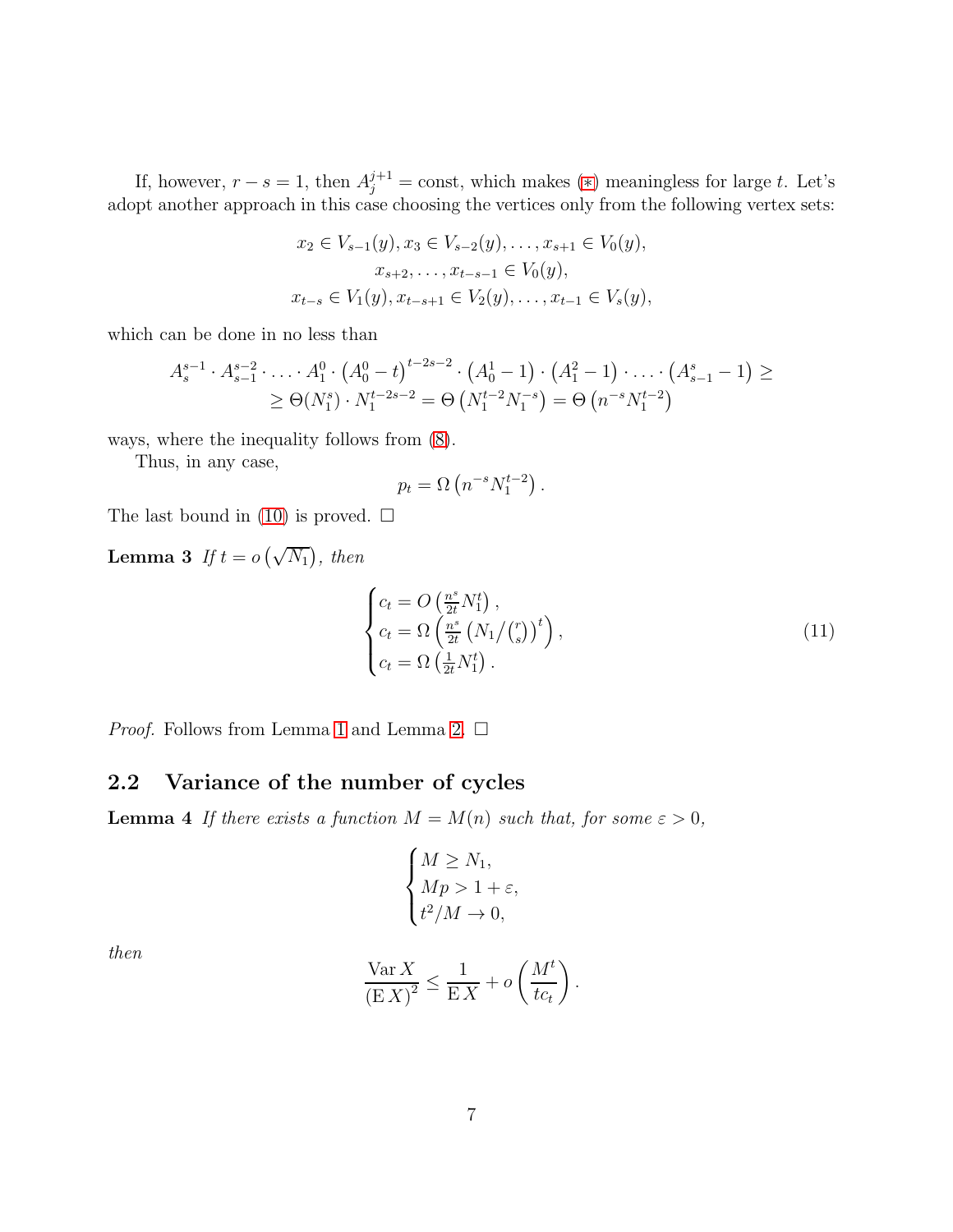If, however,  $r - s = 1$ , then  $A_j^{j+1} = \text{const}$ , which makes (\*) meaningless for large t. Let's adopt another approach in this case choosing the vertices only from the following vertex sets:

$$
x_2 \in V_{s-1}(y), x_3 \in V_{s-2}(y), \dots, x_{s+1} \in V_0(y),
$$
  
\n
$$
x_{s+2}, \dots, x_{t-s-1} \in V_0(y),
$$
  
\n
$$
x_{t-s} \in V_1(y), x_{t-s+1} \in V_2(y), \dots, x_{t-1} \in V_s(y),
$$

which can be done in no less than

$$
A_{s}^{s-1} \cdot A_{s-1}^{s-2} \cdot \ldots \cdot A_{1}^{0} \cdot (A_{0}^{0} - t)^{t-2s-2} \cdot (A_{0}^{1} - 1) \cdot (A_{1}^{2} - 1) \cdot \ldots \cdot (A_{s-1}^{s} - 1) \ge
$$
  
 
$$
\geq \Theta(N_{1}^{s}) \cdot N_{1}^{t-2s-2} = \Theta(N_{1}^{t-2}N_{1}^{-s}) = \Theta(n^{-s}N_{1}^{t-2})
$$

ways, where the inequality follows from [\(8\)](#page-4-3).

Thus, in any case,

$$
p_t = \Omega\left(n^{-s}N_1^{t-2}\right).
$$

The last bound in  $(10)$  is proved.  $\square$ 

**Lemma 3** If  $t = o(\sqrt{N_1})$ , then

<span id="page-6-2"></span>
$$
\begin{cases} c_t = O\left(\frac{n^s}{2t} N_1^t\right), \\ c_t = \Omega\left(\frac{n^s}{2t} \left(N_1/\binom{r}{s}\right)^t\right), \\ c_t = \Omega\left(\frac{1}{2t} N_1^t\right). \end{cases} \tag{11}
$$

*Proof.* Follows from Lemma [1](#page-3-1) and Lemma [2.](#page-4-1)  $\square$ 

### <span id="page-6-1"></span><span id="page-6-0"></span>2.2 Variance of the number of cycles

**Lemma 4** If there exists a function  $M = M(n)$  such that, for some  $\varepsilon > 0$ ,

$$
\begin{cases} M \ge N_1, \\ Mp > 1 + \varepsilon, \\ t^2/M \to 0, \end{cases}
$$

then

$$
\frac{\text{Var } X}{\left(\mathbf{E} X\right)^2} \le \frac{1}{\mathbf{E} X} + o\left(\frac{M^t}{t c_t}\right).
$$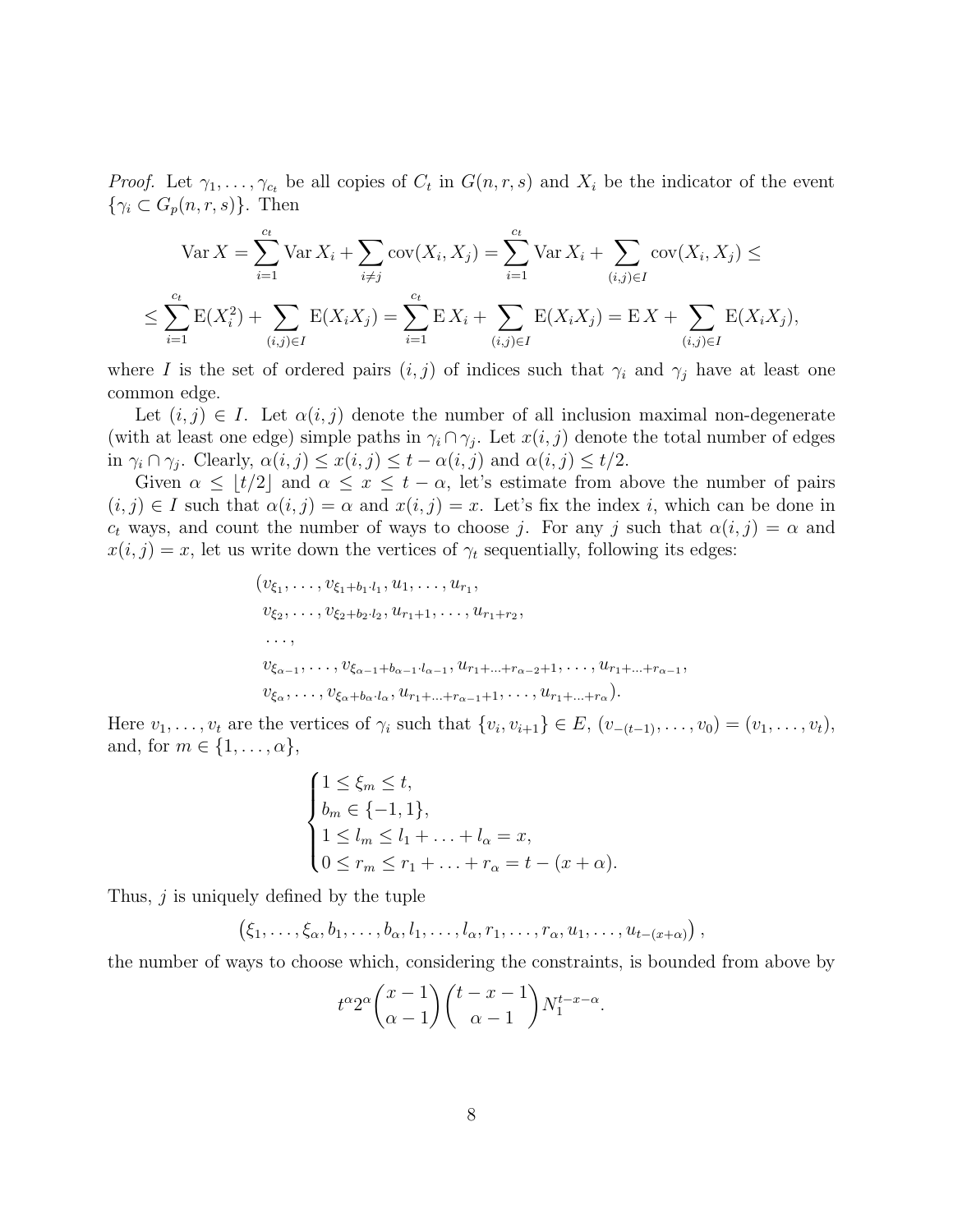*Proof.* Let  $\gamma_1, \ldots, \gamma_{c_t}$  be all copies of  $C_t$  in  $G(n, r, s)$  and  $X_i$  be the indicator of the event  $\{\gamma_i \subset G_p(n,r,s)\}.$  Then

$$
\operatorname{Var} X = \sum_{i=1}^{c_t} \operatorname{Var} X_i + \sum_{i \neq j} \operatorname{cov}(X_i, X_j) = \sum_{i=1}^{c_t} \operatorname{Var} X_i + \sum_{(i,j) \in I} \operatorname{cov}(X_i, X_j) \le
$$
  

$$
\le \sum_{i=1}^{c_t} \operatorname{E}(X_i^2) + \sum_{(i,j) \in I} \operatorname{E}(X_i X_j) = \sum_{i=1}^{c_t} \operatorname{E}(X_i + \sum_{(i,j) \in I} \operatorname{E}(X_i X_j) = \operatorname{E} X + \sum_{(i,j) \in I} \operatorname{E}(X_i X_j),
$$

where I is the set of ordered pairs  $(i, j)$  of indices such that  $\gamma_i$  and  $\gamma_j$  have at least one common edge.

Let  $(i, j) \in I$ . Let  $\alpha(i, j)$  denote the number of all inclusion maximal non-degenerate (with at least one edge) simple paths in  $\gamma_i \cap \gamma_j$ . Let  $x(i, j)$  denote the total number of edges in  $\gamma_i \cap \gamma_j$ . Clearly,  $\alpha(i, j) \leq x(i, j) \leq t - \alpha(i, j)$  and  $\alpha(i, j) \leq t/2$ .

Given  $\alpha \leq \lfloor t/2 \rfloor$  and  $\alpha \leq x \leq t - \alpha$ , let's estimate from above the number of pairs  $(i, j) \in I$  such that  $\alpha(i, j) = \alpha$  and  $x(i, j) = x$ . Let's fix the index i, which can be done in  $c_t$  ways, and count the number of ways to choose j. For any j such that  $\alpha(i, j) = \alpha$  and  $x(i, j) = x$ , let us write down the vertices of  $\gamma_t$  sequentially, following its edges:

$$
(v_{\xi_1}, \ldots, v_{\xi_1+b_1 \cdot l_1}, u_1, \ldots, u_{r_1},
$$
  
\n
$$
v_{\xi_2}, \ldots, v_{\xi_2+b_2 \cdot l_2}, u_{r_1+1}, \ldots, u_{r_1+r_2},
$$
  
\n...,  
\n
$$
v_{\xi_{\alpha-1}}, \ldots, v_{\xi_{\alpha-1}+b_{\alpha-1} \cdot l_{\alpha-1}}, u_{r_1+\ldots+r_{\alpha-2}+1}, \ldots, u_{r_1+\ldots+r_{\alpha-1}},
$$
  
\n
$$
v_{\xi_{\alpha}}, \ldots, v_{\xi_{\alpha}+b_{\alpha} \cdot l_{\alpha}}, u_{r_1+\ldots+r_{\alpha-1}+1}, \ldots, u_{r_1+\ldots+r_{\alpha}}).
$$

Here  $v_1, \ldots, v_t$  are the vertices of  $\gamma_i$  such that  $\{v_i, v_{i+1}\} \in E$ ,  $(v_{-(t-1)}, \ldots, v_0) = (v_1, \ldots, v_t)$ , and, for  $m \in \{1, \ldots, \alpha\},\$ 

$$
\begin{cases}\n1 \leq \xi_m \leq t, \\
b_m \in \{-1, 1\}, \\
1 \leq l_m \leq l_1 + \ldots + l_\alpha = x, \\
0 \leq r_m \leq r_1 + \ldots + r_\alpha = t - (x + \alpha).\n\end{cases}
$$

Thus,  $j$  is uniquely defined by the tuple

$$
(\xi_1,\ldots,\xi_\alpha,b_1,\ldots,b_\alpha,l_1,\ldots,l_\alpha,r_1,\ldots,r_\alpha,u_1,\ldots,u_{t-(x+\alpha)})
$$

the number of ways to choose which, considering the constraints, is bounded from above by

$$
t^{\alpha}2^{\alpha}\binom{x-1}{\alpha-1}\binom{t-x-1}{\alpha-1}N_1^{t-x-\alpha}.
$$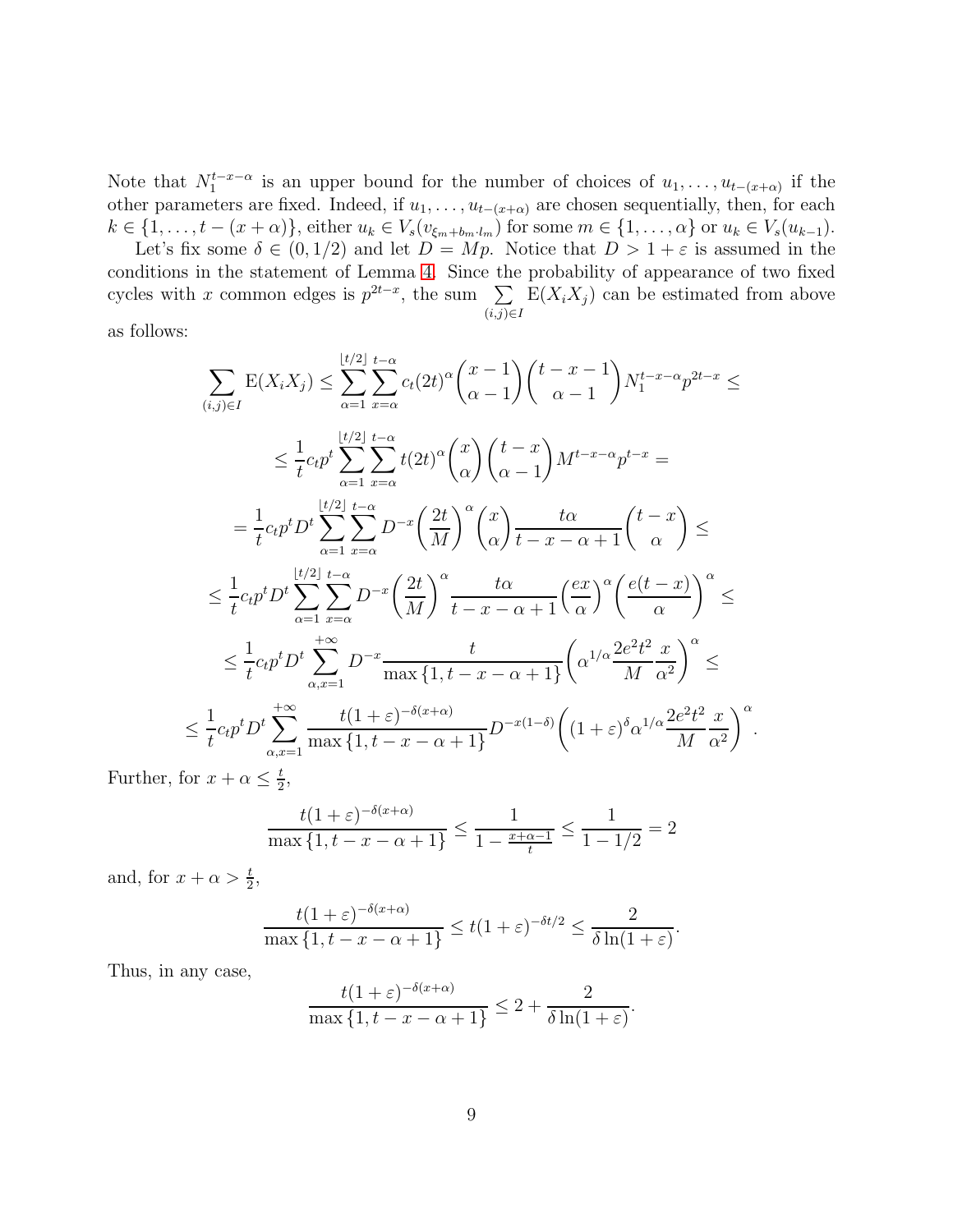Note that  $N_1^{t-x-\alpha}$  is an upper bound for the number of choices of  $u_1, \ldots, u_{t-(x+\alpha)}$  if the other parameters are fixed. Indeed, if  $u_1, \ldots, u_{t-(x+\alpha)}$  are chosen sequentially, then, for each  $k \in \{1, \ldots, t-(x+\alpha)\}\,$  either  $u_k \in V_s(v_{\xi_m+b_m \cdot l_m})$  for some  $m \in \{1, \ldots, \alpha\}$  or  $u_k \in V_s(u_{k-1})\$ . Let's fix some  $\delta \in (0, 1/2)$  and let  $D = Mp$ . Notice that  $D > 1 + \varepsilon$  is assumed in the

conditions in the statement of Lemma [4.](#page-6-1) Since the probability of appearance of two fixed cycles with x common edges is  $p^{2t-x}$ , the sum  $\sum$  $(i,j) \in I$  $E(X_i X_j)$  can be estimated from above

as follows:

$$
\sum_{(i,j)\in I} \mathcal{E}(X_i X_j) \leq \sum_{\alpha=1}^{\lfloor t/2 \rfloor} \sum_{x=\alpha}^{t-\alpha} c_t (2t)^{\alpha} \binom{x-1}{\alpha-1} \binom{t-x-1}{\alpha-1} N_1^{t-x-\alpha} p^{2t-x} \leq
$$
\n
$$
\leq \frac{1}{t} c_t p^t \sum_{\alpha=1}^{\lfloor t/2 \rfloor} \sum_{x=\alpha}^{t-\alpha} t (2t)^{\alpha} \binom{x}{\alpha} \binom{t-x}{\alpha-1} M^{t-x-\alpha} p^{t-x} =
$$
\n
$$
= \frac{1}{t} c_t p^t D^t \sum_{\alpha=1}^{\lfloor t/2 \rfloor} \sum_{x=\alpha}^{t-\alpha} D^{-x} \left( \frac{2t}{M} \right)^{\alpha} \binom{x}{\alpha} \frac{t\alpha}{t-x-\alpha+1} \binom{t-x}{\alpha} \leq
$$
\n
$$
\leq \frac{1}{t} c_t p^t D^t \sum_{\alpha=1}^{\lfloor t/2 \rfloor} \sum_{x=\alpha}^{t-\alpha} D^{-x} \left( \frac{2t}{M} \right)^{\alpha} \frac{t\alpha}{t-x-\alpha+1} \left( \frac{ex}{\alpha} \right)^{\alpha} \left( \frac{e(t-x)}{\alpha} \right)^{\alpha} \leq
$$
\n
$$
\leq \frac{1}{t} c_t p^t D^t \sum_{\alpha,x=1}^{+\infty} D^{-x} \frac{t}{\max\{1, t-x-\alpha+1\}} \left( \alpha^{1/\alpha} \frac{2e^2t^2}{M} \frac{x}{\alpha^2} \right)^{\alpha} \leq
$$
\n
$$
\leq \frac{1}{t} c_t p^t D^t \sum_{\alpha,x=1}^{+\infty} \frac{t(1+\varepsilon)^{-\delta(x+\alpha)}}{\max\{1, t-x-\alpha+1\}} D^{-x(1-\delta)} \left( (1+\varepsilon)^{\delta} \alpha^{1/\alpha} \frac{2e^2t^2}{M} \frac{x}{\alpha^2} \right)^{\alpha}.
$$

Further, for  $x + \alpha \leq \frac{t}{2}$  $\frac{t}{2}$ ,

$$
\frac{t(1+\varepsilon)^{-\delta(x+\alpha)}}{\max\{1,t-x-\alpha+1\}} \le \frac{1}{1-\frac{x+\alpha-1}{t}} \le \frac{1}{1-1/2} = 2
$$

and, for  $x + \alpha > \frac{t}{2}$ ,

$$
\frac{t(1+\varepsilon)^{-\delta(x+\alpha)}}{\max\{1,t-x-\alpha+1\}} \le t(1+\varepsilon)^{-\delta t/2} \le \frac{2}{\delta\ln(1+\varepsilon)}.
$$

Thus, in any case,

$$
\frac{t(1+\varepsilon)^{-\delta(x+\alpha)}}{\max\{1, t-x-\alpha+1\}} \le 2 + \frac{2}{\delta \ln(1+\varepsilon)}.
$$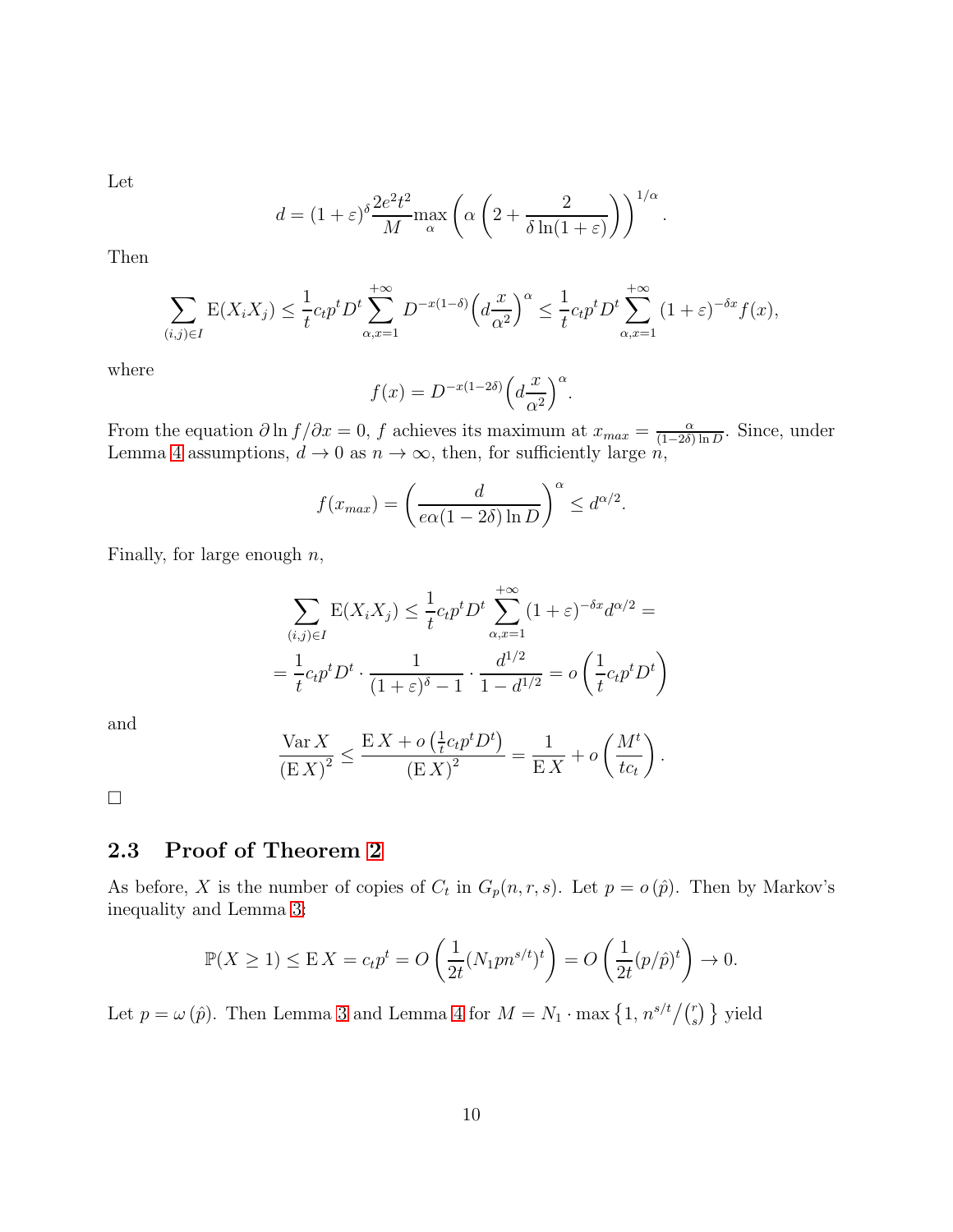Let

$$
d = (1+\varepsilon)^{\delta} \frac{2e^2t^2}{M} \max_{\alpha} \left( \alpha \left( 2 + \frac{2}{\delta \ln(1+\varepsilon)} \right) \right)^{1/\alpha}.
$$

Then

$$
\sum_{(i,j)\in I} \mathcal{E}(X_i X_j) \le \frac{1}{t} c_t p^t D^t \sum_{\alpha,x=1}^{+\infty} D^{-x(1-\delta)} \left(d\frac{x}{\alpha^2}\right)^{\alpha} \le \frac{1}{t} c_t p^t D^t \sum_{\alpha,x=1}^{+\infty} (1+\varepsilon)^{-\delta x} f(x),
$$

where

$$
f(x) = D^{-x(1-2\delta)} \left( d \frac{x}{\alpha^2} \right)^{\alpha}.
$$

From the equation  $\partial \ln f / \partial x = 0$ , f achieves its maximum at  $x_{max} = \frac{\alpha}{(1 - 2\delta)}$  $\frac{\alpha}{(1-2\delta)\ln D}$ . Since, under Lemma [4](#page-6-1) assumptions,  $d \to 0$  as  $n \to \infty$ , then, for sufficiently large *n*,

$$
f(x_{max}) = \left(\frac{d}{e\alpha(1 - 2\delta) \ln D}\right)^{\alpha} \leq d^{\alpha/2}.
$$

Finally, for large enough  $n$ ,

$$
\sum_{(i,j)\in I} E(X_i X_j) \le \frac{1}{t} c_t p^t D^t \sum_{\alpha,x=1}^{+\infty} (1+\varepsilon)^{-\delta x} d^{\alpha/2} =
$$
  
=  $\frac{1}{t} c_t p^t D^t \cdot \frac{1}{(1+\varepsilon)^{\delta}-1} \cdot \frac{d^{1/2}}{1-d^{1/2}} = o\left(\frac{1}{t} c_t p^t D^t\right)$ 

and

$$
\frac{\text{Var } X}{\left(\mathbf{E} X\right)^2} \le \frac{\mathbf{E} X + o\left(\frac{1}{t}c_t p^t D^t\right)}{\left(\mathbf{E} X\right)^2} = \frac{1}{\mathbf{E} X} + o\left(\frac{M^t}{t c_t}\right).
$$

<span id="page-9-0"></span> $\Box$ 

## 2.3 Proof of Theorem [2](#page-2-0)

As before, X is the number of copies of  $C_t$  in  $G_p(n,r,s)$ . Let  $p = o(p)$ . Then by Markov's inequality and Lemma [3:](#page-6-2)

$$
\mathbb{P}(X \ge 1) \le \mathbb{E} X = c_t p^t = O\left(\frac{1}{2t} (N_1 p n^{s/t})^t\right) = O\left(\frac{1}{2t} (p/\hat{p})^t\right) \to 0.
$$

Let  $p = \omega(\hat{p})$ . Then Lemma [3](#page-6-2) and Lemma [4](#page-6-1) for  $M = N_1 \cdot \max\left\{1, n^{s/t}/\binom{r}{s}\right\}$  yield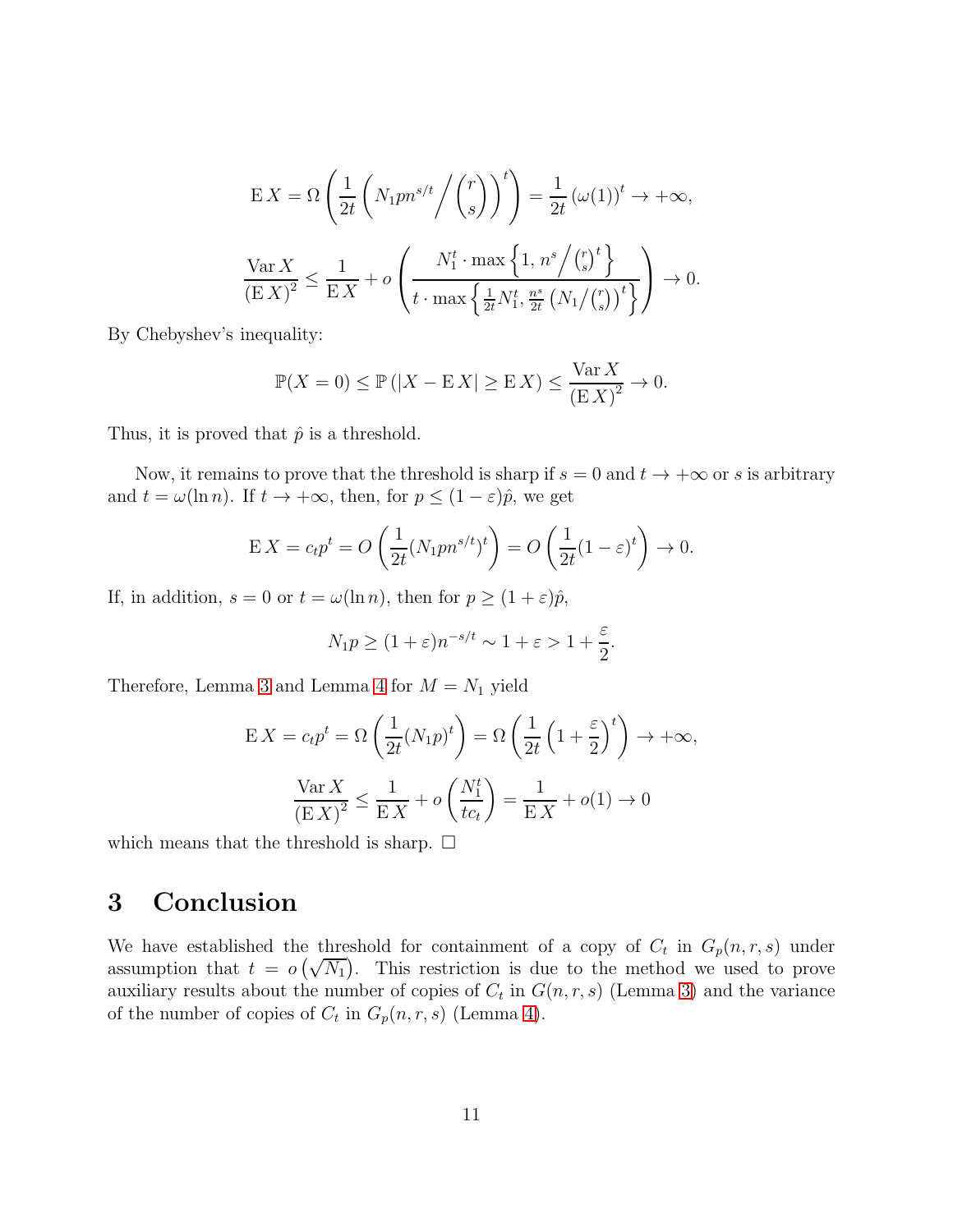$$
\mathcal{E}X = \Omega\left(\frac{1}{2t}\left(N_1pn^{s/t} \middle/ \binom{r}{s}\right)^t\right) = \frac{1}{2t}\left(\omega(1)\right)^t \to +\infty,
$$
\n
$$
\frac{\text{Var}\,X}{\left(\mathcal{E}\,X\right)^2} \le \frac{1}{\mathcal{E}\,X} + o\left(\frac{N_1^t \cdot \max\left\{1, n^s \middle/ \binom{r}{s}\right\}}{t \cdot \max\left\{\frac{1}{2t} N_1^t, \frac{n^s}{2t} \left(N_1/\binom{r}{s}\right)^t\right\}}\right) \to 0.
$$

By Chebyshev's inequality:

$$
\mathbb{P}(X=0) \le \mathbb{P}\left(|X - \mathbb{E}|X| \ge \mathbb{E}|X\right) \le \frac{\text{Var}(X)}{\left(\mathbb{E}|X|\right)^2} \to 0.
$$

Thus, it is proved that  $\hat{p}$  is a threshold.

Now, it remains to prove that the threshold is sharp if  $s = 0$  and  $t \to +\infty$  or s is arbitrary and  $t = \omega(\ln n)$ . If  $t \to +\infty$ , then, for  $p \leq (1 - \varepsilon)\hat{p}$ , we get

$$
\mathbf{E}\,X = c_t p^t = O\left(\frac{1}{2t}(N_1 p n^{s/t})^t\right) = O\left(\frac{1}{2t}(1-\varepsilon)^t\right) \to 0.
$$

If, in addition,  $s = 0$  or  $t = \omega(\ln n)$ , then for  $p \ge (1 + \varepsilon)\hat{p}$ ,

$$
N_1 p \ge (1+\varepsilon)n^{-s/t} \sim 1+\varepsilon > 1+\frac{\varepsilon}{2}.
$$

Therefore, Lemma [3](#page-6-2) and Lemma [4](#page-6-1) for  $M = N_1$  yield

$$
E X = c_t p^t = \Omega \left( \frac{1}{2t} (N_1 p)^t \right) = \Omega \left( \frac{1}{2t} \left( 1 + \frac{\varepsilon}{2} \right)^t \right) \to +\infty,
$$
  

$$
\frac{\text{Var } X}{\left( E X \right)^2} \le \frac{1}{E X} + o \left( \frac{N_1^t}{t c_t} \right) = \frac{1}{E X} + o(1) \to 0
$$

which means that the threshold is sharp.  $\square$ 

# 3 Conclusion

We have established the threshold for containment of a copy of  $C_t$  in  $G_p(n,r,s)$  under assumption that  $t = o(\sqrt{N_1})$ . This restriction is due to the method we used to prove auxiliary results about the number of copies of  $C_t$  in  $G(n, r, s)$  (Lemma [3\)](#page-6-2) and the variance of the number of copies of  $C_t$  in  $G_p(n,r,s)$  (Lemma [4\)](#page-6-1).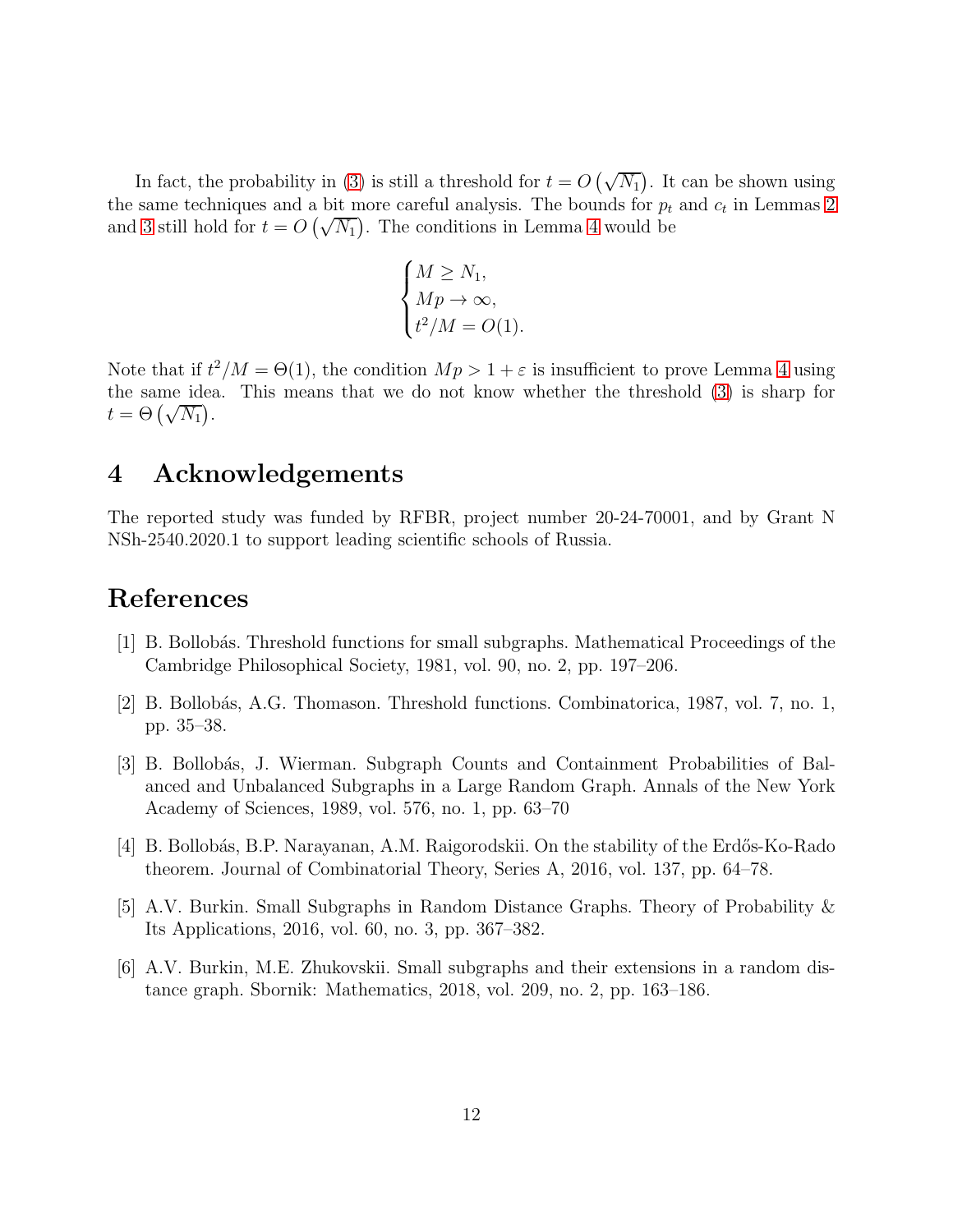In fact, the probability in [\(3\)](#page-2-0) is still a threshold for  $t = O(\sqrt{N_1})$ . It can be shown using the same techniques and a bit more careful analysis. The bounds for  $p_t$  and  $c_t$  in Lemmas [2](#page-4-1) and [3](#page-6-2) still hold for  $t = O(\sqrt{N_1})$ . The conditions in Lemma [4](#page-6-1) would be

$$
\begin{cases} M \ge N_1, \\ Mp \to \infty, \\ t^2/M = O(1). \end{cases}
$$

Note that if  $t^2/M = \Theta(1)$ , the condition  $Mp > 1 + \varepsilon$  is insufficient to prove Lemma [4](#page-6-1) using the same idea. This means that we do not know whether the threshold [\(3\)](#page-2-0) is sharp for  $t = \Theta\left(\sqrt{N_1}\right).$ 

# 4 Acknowledgements

The reported study was funded by RFBR, project number 20-24-70001, and by Grant N NSh-2540.2020.1 to support leading scientific schools of Russia.

# <span id="page-11-2"></span>References

- <span id="page-11-3"></span>[1] B. Bollob´as. Threshold functions for small subgraphs. Mathematical Proceedings of the Cambridge Philosophical Society, 1981, vol. 90, no. 2, pp. 197–206.
- <span id="page-11-4"></span>[2] B. Bollobás, A.G. Thomason. Threshold functions. Combinatorica, 1987, vol. 7, no. 1, pp. 35–38.
- [3] B. Bollobás, J. Wierman. Subgraph Counts and Containment Probabilities of Balanced and Unbalanced Subgraphs in a Large Random Graph. Annals of the New York Academy of Sciences, 1989, vol. 576, no. 1, pp. 63–70
- <span id="page-11-5"></span><span id="page-11-0"></span>[4] B. Bollobás, B.P. Narayanan, A.M. Raigorodskii. On the stability of the Erdős-Ko-Rado theorem. Journal of Combinatorial Theory, Series A, 2016, vol. 137, pp. 64–78.
- <span id="page-11-1"></span>[5] A.V. Burkin. Small Subgraphs in Random Distance Graphs. Theory of Probability & Its Applications, 2016, vol. 60, no. 3, pp. 367–382.
- [6] A.V. Burkin, M.E. Zhukovskii. Small subgraphs and their extensions in a random distance graph. Sbornik: Mathematics, 2018, vol. 209, no. 2, pp. 163–186.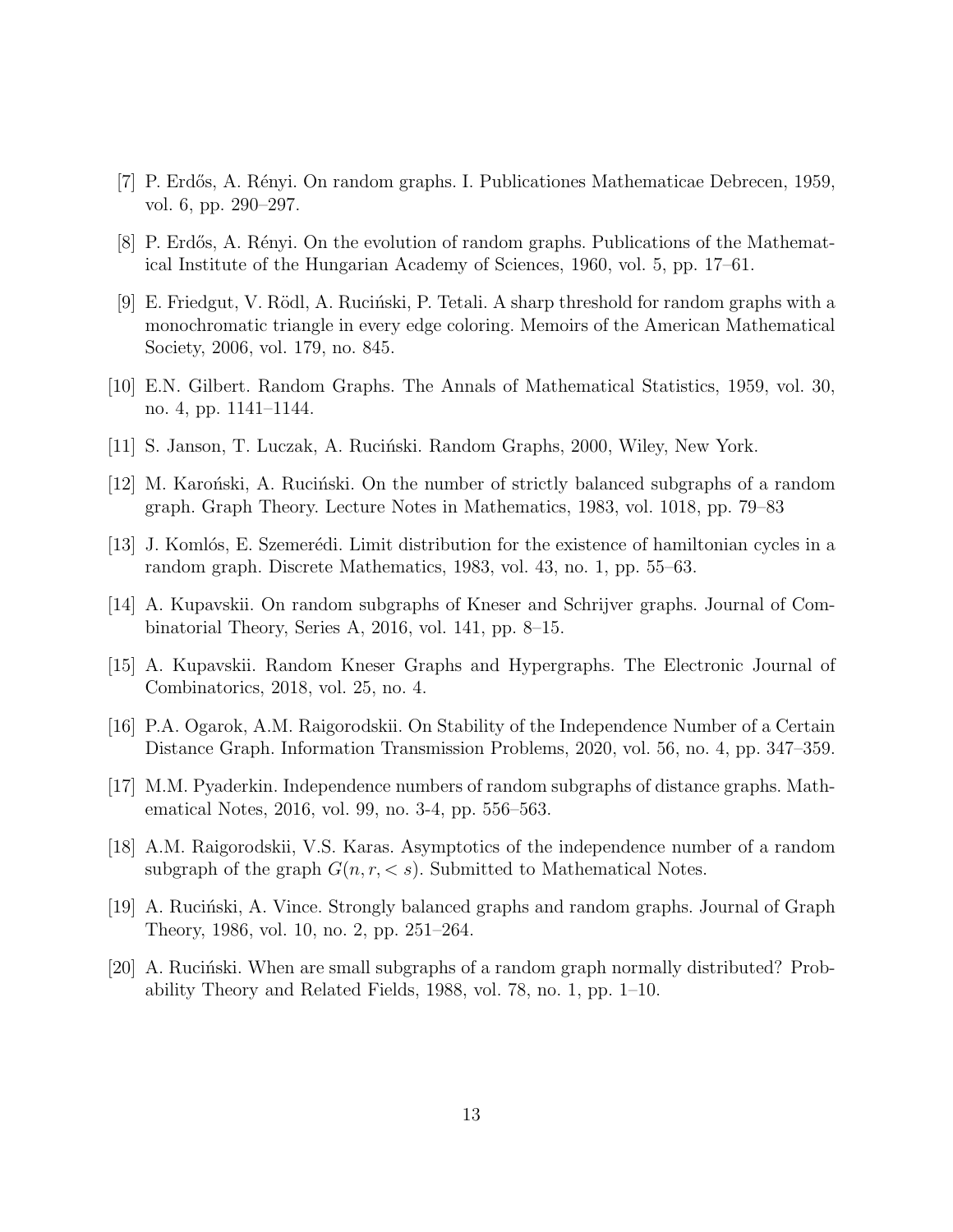- <span id="page-12-5"></span><span id="page-12-0"></span>[7] P. Erdős, A. Rényi. On random graphs. I. Publicationes Mathematicae Debrecen, 1959, vol. 6, pp. 290–297.
- <span id="page-12-6"></span>[8] P. Erdős, A. Rényi. On the evolution of random graphs. Publications of the Mathematical Institute of the Hungarian Academy of Sciences, 1960, vol. 5, pp. 17–61.
- [9] E. Friedgut, V. Rödl, A. Ruciński, P. Tetali. A sharp threshold for random graphs with a monochromatic triangle in every edge coloring. Memoirs of the American Mathematical Society, 2006, vol. 179, no. 845.
- <span id="page-12-4"></span><span id="page-12-1"></span>[10] E.N. Gilbert. Random Graphs. The Annals of Mathematical Statistics, 1959, vol. 30, no. 4, pp. 1141–1144.
- <span id="page-12-7"></span>[11] S. Janson, T. Luczak, A. Ruciński. Random Graphs, 2000, Wiley, New York.
- <span id="page-12-8"></span> $[12]$  M. Karonski, A. Rucinski. On the number of strictly balanced subgraphs of a random graph. Graph Theory. Lecture Notes in Mathematics, 1983, vol. 1018, pp. 79–83
- <span id="page-12-2"></span> $[13]$  J. Komlós, E. Szemerédi. Limit distribution for the existence of hamiltonian cycles in a random graph. Discrete Mathematics, 1983, vol. 43, no. 1, pp. 55–63.
- [14] A. Kupavskii. On random subgraphs of Kneser and Schrijver graphs. Journal of Combinatorial Theory, Series A, 2016, vol. 141, pp. 8–15.
- [15] A. Kupavskii. Random Kneser Graphs and Hypergraphs. The Electronic Journal of Combinatorics, 2018, vol. 25, no. 4.
- [16] P.A. Ogarok, A.M. Raigorodskii. On Stability of the Independence Number of a Certain Distance Graph. Information Transmission Problems, 2020, vol. 56, no. 4, pp. 347–359.
- <span id="page-12-3"></span>[17] M.M. Pyaderkin. Independence numbers of random subgraphs of distance graphs. Mathematical Notes, 2016, vol. 99, no. 3-4, pp. 556–563.
- [18] A.M. Raigorodskii, V.S. Karas. Asymptotics of the independence number of a random subgraph of the graph  $G(n, r, < s)$ . Submitted to Mathematical Notes.
- <span id="page-12-10"></span><span id="page-12-9"></span>[19] A. Rucinski, A. Vince. Strongly balanced graphs and random graphs. Journal of Graph Theory, 1986, vol. 10, no. 2, pp. 251–264.
- [20] A. Rucinski. When are small subgraphs of a random graph normally distributed? Probability Theory and Related Fields, 1988, vol. 78, no. 1, pp. 1–10.